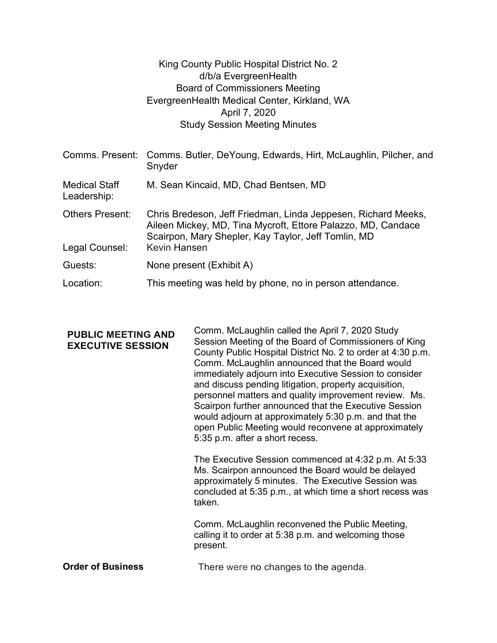|                                          | King County Public Hospital District No. 2<br>d/b/a EvergreenHealth<br><b>Board of Commissioners Meeting</b><br>EvergreenHealth Medical Center, Kirkland, WA<br>April 7, 2020                               |
|------------------------------------------|-------------------------------------------------------------------------------------------------------------------------------------------------------------------------------------------------------------|
|                                          | <b>Study Session Meeting Minutes</b>                                                                                                                                                                        |
| Comms. Present:                          | Comms. Butler, DeYoung, Edwards, Hirt, McLaughlin, Pilcher, and<br>Snyder                                                                                                                                   |
| <b>Medical Staff</b><br>Leadership:      | M. Sean Kincaid, MD, Chad Bentsen, MD                                                                                                                                                                       |
| <b>Others Present:</b><br>Legal Counsel: | Chris Bredeson, Jeff Friedman, Linda Jeppesen, Richard Meeks,<br>Aileen Mickey, MD, Tina Mycroft, Ettore Palazzo, MD, Candace<br>Scairpon, Mary Shepler, Kay Taylor, Jeff Tomlin, MD<br><b>Kevin Hansen</b> |
|                                          |                                                                                                                                                                                                             |
| Guests:                                  | None present (Exhibit A)                                                                                                                                                                                    |
| Location:                                | This meeting was held by phone, no in person attendance.                                                                                                                                                    |

| <b>PUBLIC MEETING AND</b><br><b>EXECUTIVE SESSION</b> | Comm. McLaughlin called the April 7, 2020 Study<br>Session Meeting of the Board of Commissioners of King<br>County Public Hospital District No. 2 to order at 4:30 p.m.<br>Comm. McLaughlin announced that the Board would<br>immediately adjourn into Executive Session to consider<br>and discuss pending litigation, property acquisition,<br>personnel matters and quality improvement review. Ms.<br>Scairpon further announced that the Executive Session<br>would adjourn at approximately 5:30 p.m. and that the<br>open Public Meeting would reconvene at approximately<br>5:35 p.m. after a short recess. |
|-------------------------------------------------------|---------------------------------------------------------------------------------------------------------------------------------------------------------------------------------------------------------------------------------------------------------------------------------------------------------------------------------------------------------------------------------------------------------------------------------------------------------------------------------------------------------------------------------------------------------------------------------------------------------------------|
|                                                       | The Executive Session commenced at 4:32 p.m. At 5:33<br>Ms. Scairpon announced the Board would be delayed<br>approximately 5 minutes. The Executive Session was<br>concluded at 5:35 p.m., at which time a short recess was<br>taken.                                                                                                                                                                                                                                                                                                                                                                               |
|                                                       | Comm. McLaughlin reconvened the Public Meeting,<br>calling it to order at 5:38 p.m. and welcoming those<br>present.                                                                                                                                                                                                                                                                                                                                                                                                                                                                                                 |
| <b>Order of Business</b>                              | There were no changes to the agenda.                                                                                                                                                                                                                                                                                                                                                                                                                                                                                                                                                                                |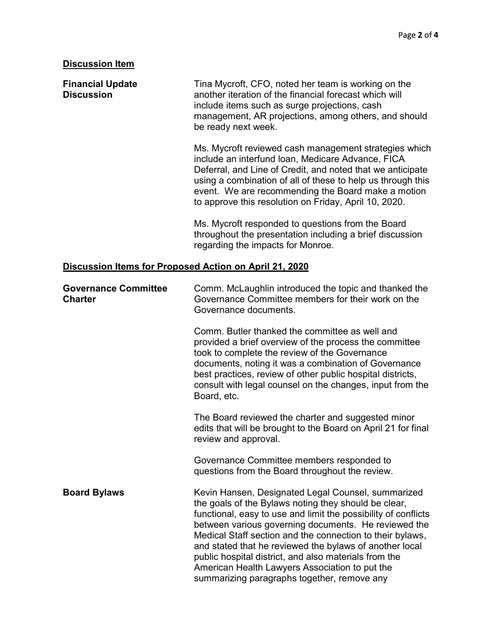## Discussion Item

Financial Update Discussion another iteration of the financial forecast which will Tina Mycroft, CFO, noted her team is working on the include items such as surge projections, cash management, AR projections, among others, and should be ready next week. Ms. Mycroft reviewed cash management strategies which include an interfund loan, Medicare Advance, FICA Deferral, and Line of Credit, and noted that we anticipate using a combination of all of these to help us through this event. We are recommending the Board make a motion to approve this resolution on Friday, April 10, 2020. Ms. Mycroft responded to questions from the Board throughout the presentation including a brief discussion regarding the impacts for Monroe. Discussion Items for Proposed Action on April 21, 2020 Governance Committee **Charter** Comm. McLaughlin introduced the topic and thanked the Governance Committee members for their work on the Governance documents. Comm. Butler thanked the committee as well and provided a brief overview of the process the committee took to complete the review of the Governance documents, noting it was a combination of Governance best practices, review of other public hospital districts, consult with legal counsel on the changes, input from the Board, etc. The Board reviewed the charter and suggested minor edits that will be brought to the Board on April 21 for final

> Governance Committee members responded to questions from the Board throughout the review.

**Board Bylaws Kevin Hansen, Designated Legal Counsel, summarized Counsel** the goals of the Bylaws noting they should be clear, functional, easy to use and limit the possibility of conflicts between various governing documents. He reviewed the Medical Staff section and the connection to their bylaws, and stated that he reviewed the bylaws of another local public hospital district, and also materials from the American Health Lawyers Association to put the summarizing paragraphs together, remove any

review and approval.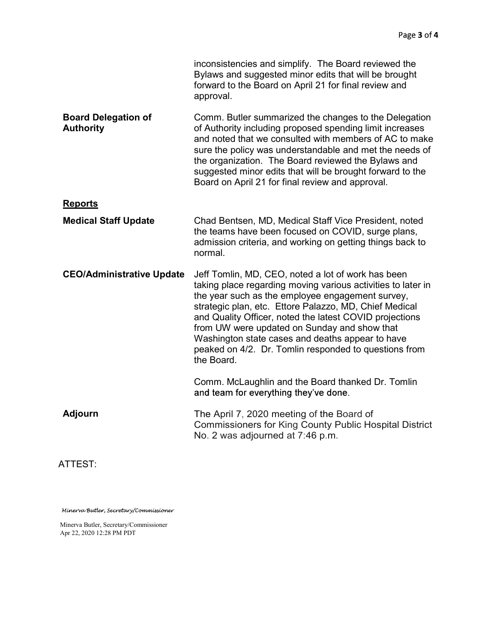|                                                | inconsistencies and simplify. The Board reviewed the<br>Bylaws and suggested minor edits that will be brought<br>forward to the Board on April 21 for final review and<br>approval.                                                                                                                                                                                                                                                                                    |  |
|------------------------------------------------|------------------------------------------------------------------------------------------------------------------------------------------------------------------------------------------------------------------------------------------------------------------------------------------------------------------------------------------------------------------------------------------------------------------------------------------------------------------------|--|
| <b>Board Delegation of</b><br><b>Authority</b> | Comm. Butler summarized the changes to the Delegation<br>of Authority including proposed spending limit increases<br>and noted that we consulted with members of AC to make<br>sure the policy was understandable and met the needs of<br>the organization. The Board reviewed the Bylaws and<br>suggested minor edits that will be brought forward to the<br>Board on April 21 for final review and approval.                                                         |  |
| <b>Reports</b>                                 |                                                                                                                                                                                                                                                                                                                                                                                                                                                                        |  |
| <b>Medical Staff Update</b>                    | Chad Bentsen, MD, Medical Staff Vice President, noted<br>the teams have been focused on COVID, surge plans,<br>admission criteria, and working on getting things back to<br>normal.                                                                                                                                                                                                                                                                                    |  |
| <b>CEO/Administrative Update</b>               | Jeff Tomlin, MD, CEO, noted a lot of work has been<br>taking place regarding moving various activities to later in<br>the year such as the employee engagement survey,<br>strategic plan, etc. Ettore Palazzo, MD, Chief Medical<br>and Quality Officer, noted the latest COVID projections<br>from UW were updated on Sunday and show that<br>Washington state cases and deaths appear to have<br>peaked on 4/2. Dr. Tomlin responded to questions from<br>the Board. |  |
|                                                | Comm. McLaughlin and the Board thanked Dr. Tomlin<br>and team for everything they've done.                                                                                                                                                                                                                                                                                                                                                                             |  |
| <b>Adjourn</b>                                 | The April 7, 2020 meeting of the Board of<br><b>Commissioners for King County Public Hospital District</b><br>No. 2 was adjourned at 7:46 p.m.                                                                                                                                                                                                                                                                                                                         |  |

ATTEST:

Minerva Butler, Secretary/Commissioner

Minerva Butler, Secretary/Commissioner Apr 22, 2020 12:28 PM PDT